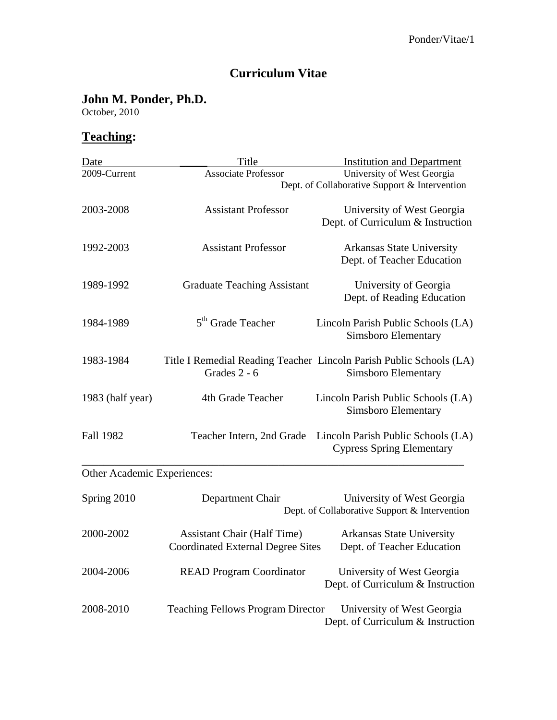## **Curriculum Vitae**

## **John M. Ponder, Ph.D.**

October, 2010

# **Teaching:**

| Date                        | Title                                                                          | <b>Institution and Department</b>                                                          |
|-----------------------------|--------------------------------------------------------------------------------|--------------------------------------------------------------------------------------------|
| 2009-Current                | <b>Associate Professor</b>                                                     | University of West Georgia<br>Dept. of Collaborative Support & Intervention                |
| 2003-2008                   | <b>Assistant Professor</b>                                                     | University of West Georgia<br>Dept. of Curriculum & Instruction                            |
| 1992-2003                   | <b>Assistant Professor</b>                                                     | <b>Arkansas State University</b><br>Dept. of Teacher Education                             |
| 1989-1992                   | <b>Graduate Teaching Assistant</b>                                             | University of Georgia<br>Dept. of Reading Education                                        |
| 1984-1989                   | 5 <sup>th</sup> Grade Teacher                                                  | Lincoln Parish Public Schools (LA)<br>Simsboro Elementary                                  |
| 1983-1984                   | Grades 2 - 6                                                                   | Title I Remedial Reading Teacher Lincoln Parish Public Schools (LA)<br>Simsboro Elementary |
| 1983 (half year)            | 4th Grade Teacher                                                              | Lincoln Parish Public Schools (LA)<br>Simsboro Elementary                                  |
| <b>Fall 1982</b>            | Teacher Intern, 2nd Grade                                                      | Lincoln Parish Public Schools (LA)<br><b>Cypress Spring Elementary</b>                     |
| Other Academic Experiences: |                                                                                |                                                                                            |
| Spring 2010                 | Department Chair                                                               | University of West Georgia<br>Dept. of Collaborative Support & Intervention                |
| 2000-2002                   | <b>Assistant Chair (Half Time)</b><br><b>Coordinated External Degree Sites</b> | Arkansas State University<br>Dept. of Teacher Education                                    |
| 2004-2006                   | <b>READ Program Coordinator</b>                                                | University of West Georgia<br>Dept. of Curriculum & Instruction                            |
| 2008-2010                   | <b>Teaching Fellows Program Director</b>                                       | University of West Georgia<br>Dept. of Curriculum & Instruction                            |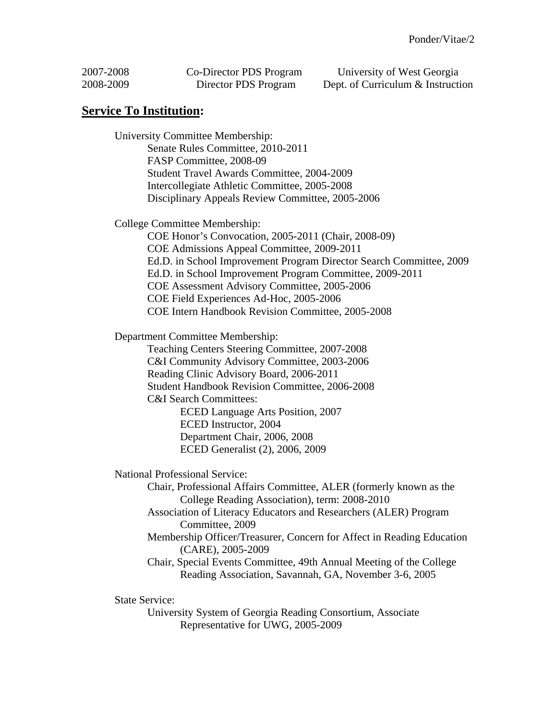| 2007-2008 | Co-Director PDS Program | University of West Georgia        |
|-----------|-------------------------|-----------------------------------|
| 2008-2009 | Director PDS Program    | Dept. of Curriculum & Instruction |

## **Service To Institution:**

University Committee Membership: Senate Rules Committee, 2010-2011 FASP Committee, 2008-09 Student Travel Awards Committee, 2004-2009 Intercollegiate Athletic Committee, 2005-2008 Disciplinary Appeals Review Committee, 2005-2006

College Committee Membership:

 COE Honor's Convocation, 2005-2011 (Chair, 2008-09) COE Admissions Appeal Committee, 2009-2011 Ed.D. in School Improvement Program Director Search Committee, 2009 Ed.D. in School Improvement Program Committee, 2009-2011 COE Assessment Advisory Committee, 2005-2006 COE Field Experiences Ad-Hoc, 2005-2006 COE Intern Handbook Revision Committee, 2005-2008

Department Committee Membership:

 Teaching Centers Steering Committee, 2007-2008 C&I Community Advisory Committee, 2003-2006 Reading Clinic Advisory Board, 2006-2011 Student Handbook Revision Committee, 2006-2008 C&I Search Committees: ECED Language Arts Position, 2007 ECED Instructor, 2004 Department Chair, 2006, 2008 ECED Generalist (2), 2006, 2009

National Professional Service:

Chair, Professional Affairs Committee, ALER (formerly known as the College Reading Association), term: 2008-2010

Association of Literacy Educators and Researchers (ALER) Program Committee, 2009

 Membership Officer/Treasurer, Concern for Affect in Reading Education (CARE), 2005-2009

Chair, Special Events Committee, 49th Annual Meeting of the College Reading Association, Savannah, GA, November 3-6, 2005

State Service:

University System of Georgia Reading Consortium, Associate Representative for UWG, 2005-2009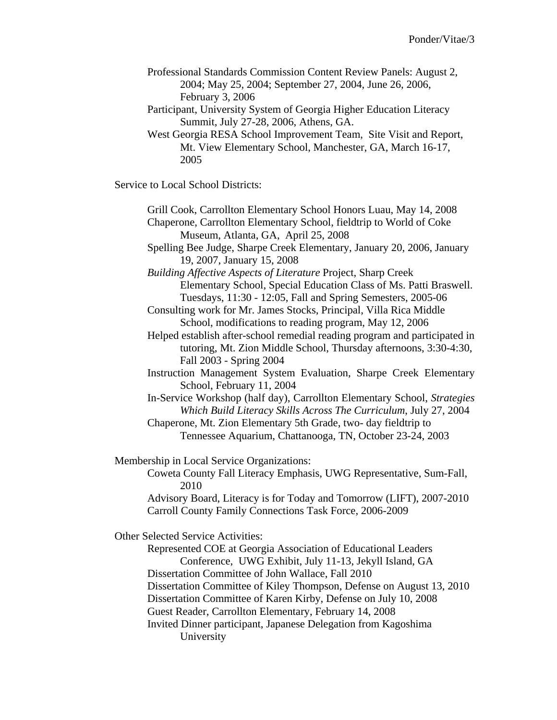- Professional Standards Commission Content Review Panels: August 2, 2004; May 25, 2004; September 27, 2004, June 26, 2006, February 3, 2006
- Participant, University System of Georgia Higher Education Literacy Summit, July 27-28, 2006, Athens, GA.
- West Georgia RESA School Improvement Team, Site Visit and Report, Mt. View Elementary School, Manchester, GA, March 16-17, 2005
- Service to Local School Districts:
	- Grill Cook, Carrollton Elementary School Honors Luau, May 14, 2008
	- Chaperone, Carrollton Elementary School, fieldtrip to World of Coke Museum, Atlanta, GA, April 25, 2008
	- Spelling Bee Judge, Sharpe Creek Elementary, January 20, 2006, January 19, 2007, January 15, 2008

*Building Affective Aspects of Literature* Project, Sharp Creek Elementary School, Special Education Class of Ms. Patti Braswell. Tuesdays, 11:30 - 12:05, Fall and Spring Semesters, 2005-06

- Consulting work for Mr. James Stocks, Principal, Villa Rica Middle School, modifications to reading program, May 12, 2006
- Helped establish after-school remedial reading program and participated in tutoring, Mt. Zion Middle School, Thursday afternoons, 3:30-4:30, Fall 2003 - Spring 2004
- Instruction Management System Evaluation, Sharpe Creek Elementary School, February 11, 2004
- In-Service Workshop (half day), Carrollton Elementary School, *Strategies Which Build Literacy Skills Across The Curriculum*, July 27, 2004
- Chaperone, Mt. Zion Elementary 5th Grade, two- day fieldtrip to Tennessee Aquarium, Chattanooga, TN, October 23-24, 2003
- Membership in Local Service Organizations:
	- Coweta County Fall Literacy Emphasis, UWG Representative, Sum-Fall, 2010
	- Advisory Board, Literacy is for Today and Tomorrow (LIFT), 2007-2010 Carroll County Family Connections Task Force, 2006-2009

Other Selected Service Activities:

- Represented COE at Georgia Association of Educational Leaders Conference, UWG Exhibit, July 11-13, Jekyll Island, GA
- Dissertation Committee of John Wallace, Fall 2010
- Dissertation Committee of Kiley Thompson, Defense on August 13, 2010
- Dissertation Committee of Karen Kirby, Defense on July 10, 2008
- Guest Reader, Carrollton Elementary, February 14, 2008
- Invited Dinner participant, Japanese Delegation from Kagoshima University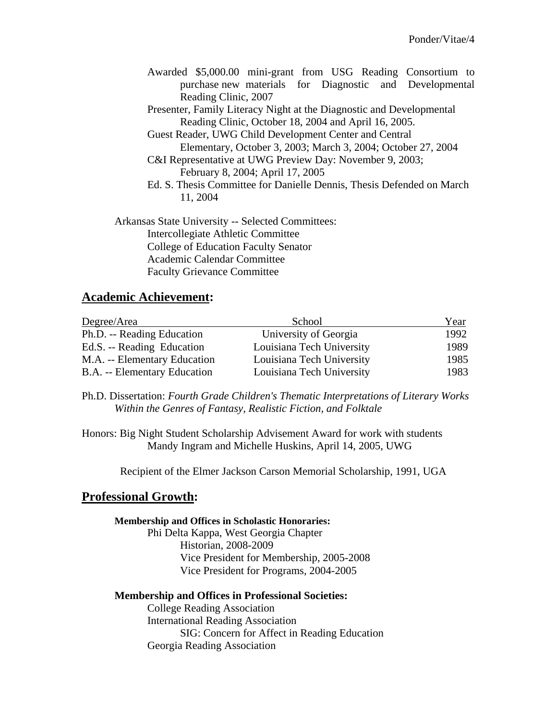- Awarded \$5,000.00 mini-grant from USG Reading Consortium to purchase new materials for Diagnostic and Developmental Reading Clinic, 2007
- Presenter, Family Literacy Night at the Diagnostic and Developmental Reading Clinic, October 18, 2004 and April 16, 2005.
- Guest Reader, UWG Child Development Center and Central Elementary, October 3, 2003; March 3, 2004; October 27, 2004
- C&I Representative at UWG Preview Day: November 9, 2003; February 8, 2004; April 17, 2005
- Ed. S. Thesis Committee for Danielle Dennis, Thesis Defended on March 11, 2004

Arkansas State University -- Selected Committees: Intercollegiate Athletic Committee College of Education Faculty Senator Academic Calendar Committee Faculty Grievance Committee

## **Academic Achievement:**

| Degree/Area                  | School                    | Year |
|------------------------------|---------------------------|------|
| Ph.D. -- Reading Education   | University of Georgia     | 1992 |
| Ed.S. -- Reading Education   | Louisiana Tech University | 1989 |
| M.A. -- Elementary Education | Louisiana Tech University | 1985 |
| B.A. -- Elementary Education | Louisiana Tech University | 1983 |

Ph.D. Dissertation: *Fourth Grade Children's Thematic Interpretations of Literary Works Within the Genres of Fantasy, Realistic Fiction, and Folktale*

Honors: Big Night Student Scholarship Advisement Award for work with students Mandy Ingram and Michelle Huskins, April 14, 2005, UWG

Recipient of the Elmer Jackson Carson Memorial Scholarship, 1991, UGA

## **Professional Growth:**

#### **Membership and Offices in Scholastic Honoraries:**

Phi Delta Kappa, West Georgia Chapter Historian, 2008-2009 Vice President for Membership, 2005-2008 Vice President for Programs, 2004-2005

#### **Membership and Offices in Professional Societies:**

 College Reading Association International Reading Association SIG: Concern for Affect in Reading Education Georgia Reading Association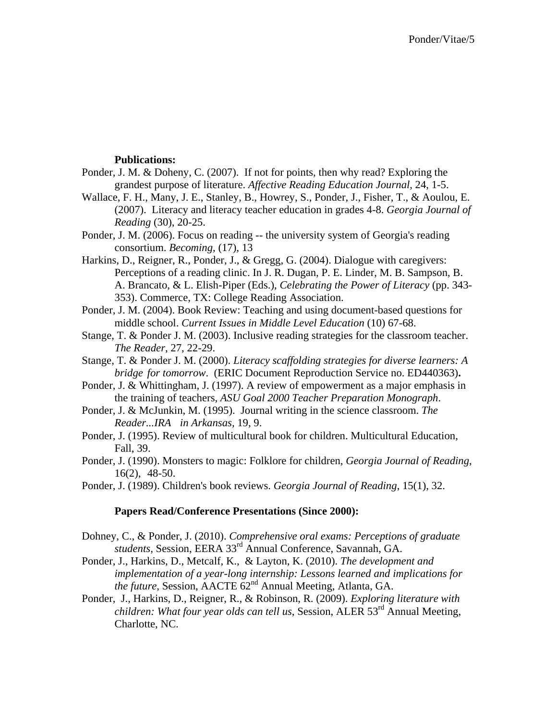#### **Publications:**

- Ponder, J. M. & Doheny, C. (2007). If not for points, then why read? Exploring the grandest purpose of literature. *Affective Reading Education Journal*, 24, 1-5.
- Wallace, F. H., Many, J. E., Stanley, B., Howrey, S., Ponder, J., Fisher, T., & Aoulou, E. (2007). Literacy and literacy teacher education in grades 4-8. *Georgia Journal of Reading* (30), 20-25.
- Ponder, J. M. (2006). Focus on reading -- the university system of Georgia's reading consortium. *Becoming*, (17), 13
- Harkins, D., Reigner, R., Ponder, J., & Gregg, G. (2004). Dialogue with caregivers: Perceptions of a reading clinic. In J. R. Dugan, P. E. Linder, M. B. Sampson, B. A. Brancato, & L. Elish-Piper (Eds.), *Celebrating the Power of Literacy* (pp. 343- 353). Commerce, TX: College Reading Association.
- Ponder, J. M. (2004). Book Review: Teaching and using document-based questions for middle school. *Current Issues in Middle Level Education* (10) 67-68.
- Stange, T. & Ponder J. M. (2003). Inclusive reading strategies for the classroom teacher. *The Reader*, 27, 22-29.
- Stange, T. & Ponder J. M. (2000). *Literacy scaffolding strategies for diverse learners: A bridge for tomorrow*. (ERIC Document Reproduction Service no. ED440363)**.**
- Ponder, J. & Whittingham, J. (1997). A review of empowerment as a major emphasis in the training of teachers, *ASU Goal 2000 Teacher Preparation Monograph*.
- Ponder, J. & McJunkin, M. (1995). Journal writing in the science classroom. *The Reader...IRA in Arkansas,* 19, 9.
- Ponder, J. (1995). Review of multicultural book for children. Multicultural Education, Fall, 39.
- Ponder, J. (1990). Monsters to magic: Folklore for children, *Georgia Journal of Reading*, 16(2), 48-50.
- Ponder, J. (1989). Children's book reviews. *Georgia Journal of Reading*, 15(1), 32.

#### **Papers Read/Conference Presentations (Since 2000):**

- Dohney, C., & Ponder, J. (2010). *Comprehensive oral exams: Perceptions of graduate students*, Session, EERA 33rd Annual Conference, Savannah, GA.
- Ponder, J., Harkins, D., Metcalf, K., & Layton, K. (2010). *The development and implementation of a year-long internship: Lessons learned and implications for the future*, Session, AACTE 62nd Annual Meeting, Atlanta, GA.
- Ponder, J., Harkins, D., Reigner, R., & Robinson, R. (2009). *Exploring literature with children: What four year olds can tell us, Session, ALER 53<sup>rd</sup> Annual Meeting,* Charlotte, NC.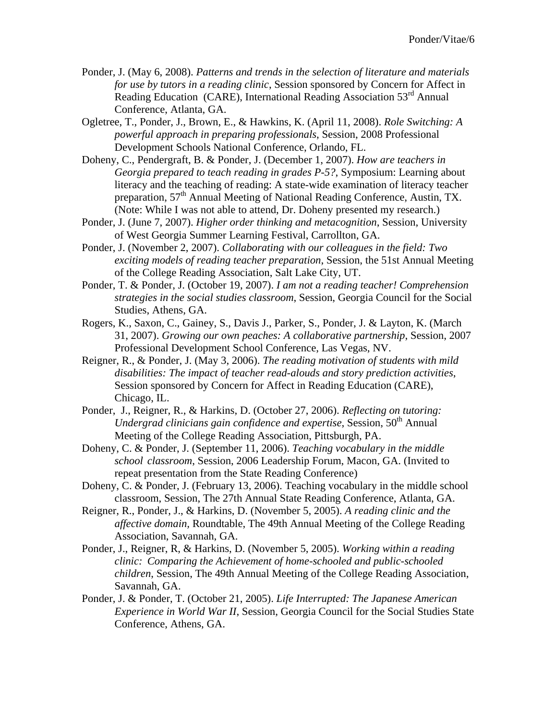Ponder, J. (May 6, 2008). *Patterns and trends in the selection of literature and materials for use by tutors in a reading clinic*, Session sponsored by Concern for Affect in Reading Education (CARE), International Reading Association 53<sup>rd</sup> Annual Conference, Atlanta, GA.

Ogletree, T., Ponder, J., Brown, E., & Hawkins, K. (April 11, 2008). *Role Switching: A powerful approach in preparing professionals*, Session, 2008 Professional Development Schools National Conference, Orlando, FL.

- Doheny, C., Pendergraft, B. & Ponder, J. (December 1, 2007). *How are teachers in Georgia prepared to teach reading in grades P-5?*, Symposium: Learning about literacy and the teaching of reading: A state-wide examination of literacy teacher preparation, 57<sup>th</sup> Annual Meeting of National Reading Conference, Austin, TX. (Note: While I was not able to attend, Dr. Doheny presented my research.)
- Ponder, J. (June 7, 2007). *Higher order thinking and metacognition*, Session, University of West Georgia Summer Learning Festival, Carrollton, GA.
- Ponder, J. (November 2, 2007). *Collaborating with our colleagues in the field: Two exciting models of reading teacher preparation*, Session, the 51st Annual Meeting of the College Reading Association, Salt Lake City, UT.
- Ponder, T. & Ponder, J. (October 19, 2007). *I am not a reading teacher! Comprehension strategies in the social studies classroom*, Session, Georgia Council for the Social Studies, Athens, GA.
- Rogers, K., Saxon, C., Gainey, S., Davis J., Parker, S., Ponder, J. & Layton, K. (March 31, 2007). *Growing our own peaches: A collaborative partnership*, Session, 2007 Professional Development School Conference, Las Vegas, NV.
- Reigner, R., & Ponder, J. (May 3, 2006). *The reading motivation of students with mild disabilities: The impact of teacher read-alouds and story prediction activities*, Session sponsored by Concern for Affect in Reading Education (CARE), Chicago, IL.
- Ponder, J., Reigner, R., & Harkins, D. (October 27, 2006). *Reflecting on tutoring: Undergrad clinicians gain confidence and expertise*, Session, 50<sup>th</sup> Annual Meeting of the College Reading Association, Pittsburgh, PA.
- Doheny, C. & Ponder, J. (September 11, 2006). *Teaching vocabulary in the middle school classroom*, Session, 2006 Leadership Forum, Macon, GA. (Invited to repeat presentation from the State Reading Conference)
- Doheny, C. & Ponder, J. (February 13, 2006). Teaching vocabulary in the middle school classroom, Session, The 27th Annual State Reading Conference, Atlanta, GA.
- Reigner, R., Ponder, J., & Harkins, D. (November 5, 2005). *A reading clinic and the affective domain,* Roundtable, The 49th Annual Meeting of the College Reading Association, Savannah, GA.
- Ponder, J., Reigner, R, & Harkins, D. (November 5, 2005). *Working within a reading clinic: Comparing the Achievement of home-schooled and public-schooled children*, Session, The 49th Annual Meeting of the College Reading Association, Savannah, GA.
- Ponder, J. & Ponder, T. (October 21, 2005). *Life Interrupted: The Japanese American Experience in World War II*, Session, Georgia Council for the Social Studies State Conference, Athens, GA.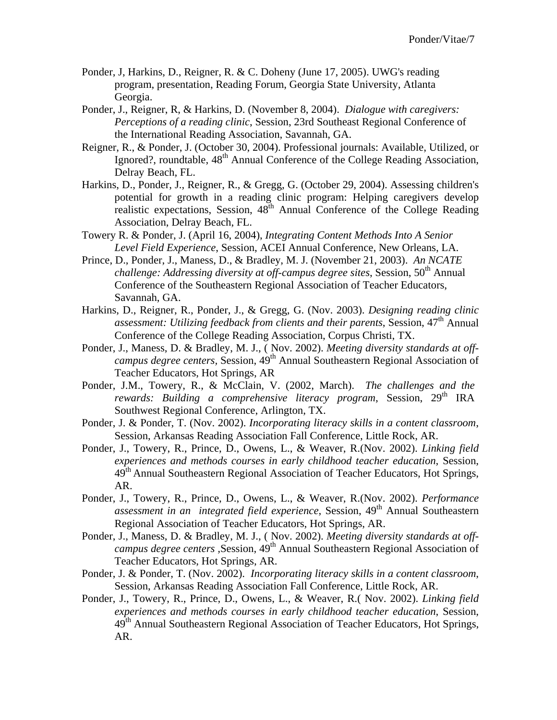- Ponder, J, Harkins, D., Reigner, R. & C. Doheny (June 17, 2005). UWG's reading program, presentation, Reading Forum, Georgia State University, Atlanta Georgia.
- Ponder, J., Reigner, R, & Harkins, D. (November 8, 2004). *Dialogue with caregivers: Perceptions of a reading clinic*, Session, 23rd Southeast Regional Conference of the International Reading Association, Savannah, GA.
- Reigner, R., & Ponder, J. (October 30, 2004). Professional journals: Available, Utilized, or Ignored?, roundtable, 48<sup>th</sup> Annual Conference of the College Reading Association, Delray Beach, FL.
- Harkins, D., Ponder, J., Reigner, R., & Gregg, G. (October 29, 2004). Assessing children's potential for growth in a reading clinic program: Helping caregivers develop realistic expectations, Session, 48th Annual Conference of the College Reading Association, Delray Beach, FL.
- Towery R. & Ponder, J. (April 16, 2004), *Integrating Content Methods Into A Senior Level Field Experience*, Session, ACEI Annual Conference, New Orleans, LA.
- Prince, D., Ponder, J., Maness, D., & Bradley, M. J. (November 21, 2003). *An NCATE challenge: Addressing diversity at off-campus degree sites, Session, 50<sup>th</sup> Annual*  Conference of the Southeastern Regional Association of Teacher Educators, Savannah, GA.
- Harkins, D., Reigner, R., Ponder, J., & Gregg, G. (Nov. 2003). *Designing reading clinic assessment: Utilizing feedback from clients and their parents*, Session, 47th Annual Conference of the College Reading Association, Corpus Christi, TX.
- Ponder, J., Maness, D. & Bradley, M. J., ( Nov. 2002). *Meeting diversity standards at off campus degree centers, Session, 49<sup>th</sup> Annual Southeastern Regional Association of* Teacher Educators, Hot Springs, AR
- Ponder, J.M., Towery, R., & McClain, V. (2002, March). *The challenges and the rewards: Building a comprehensive literacy program, Session, 29<sup>th</sup> IRA* Southwest Regional Conference, Arlington, TX.
- Ponder, J. & Ponder, T. (Nov. 2002). *Incorporating literacy skills in a content classroom*, Session, Arkansas Reading Association Fall Conference, Little Rock, AR.
- Ponder, J., Towery, R., Prince, D., Owens, L., & Weaver, R.(Nov. 2002). *Linking field experiences and methods courses in early childhood teacher education*, Session, 49<sup>th</sup> Annual Southeastern Regional Association of Teacher Educators, Hot Springs, AR.
- Ponder, J., Towery, R., Prince, D., Owens, L., & Weaver, R.(Nov. 2002). *Performance dssessment in an integrated field experience*, Session, 49<sup>th</sup> Annual Southeastern Regional Association of Teacher Educators, Hot Springs, AR.
- Ponder, J., Maness, D. & Bradley, M. J., ( Nov. 2002). *Meeting diversity standards at off campus degree centers ,*Session, 49th Annual Southeastern Regional Association of Teacher Educators, Hot Springs, AR.
- Ponder, J. & Ponder, T. (Nov. 2002). *Incorporating literacy skills in a content classroom*, Session, Arkansas Reading Association Fall Conference, Little Rock, AR.
- Ponder, J., Towery, R., Prince, D., Owens, L., & Weaver, R.( Nov. 2002). *Linking field experiences and methods courses in early childhood teacher education*, Session, 49<sup>th</sup> Annual Southeastern Regional Association of Teacher Educators, Hot Springs, AR.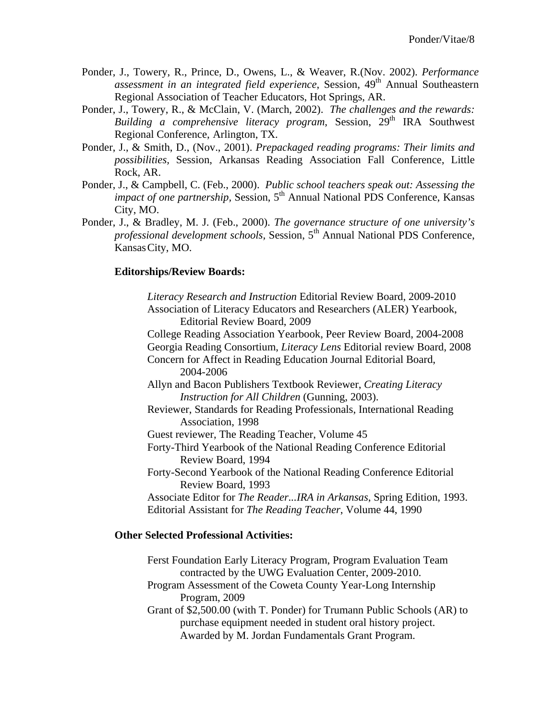- Ponder, J., Towery, R., Prince, D., Owens, L., & Weaver, R.(Nov. 2002). *Performance assessment in an integrated field experience*, Session, 49<sup>th</sup> Annual Southeastern Regional Association of Teacher Educators, Hot Springs, AR.
- Ponder, J., Towery, R., & McClain, V. (March, 2002). *The challenges and the rewards: Building a comprehensive literacy program*, Session, 29<sup>th</sup> IRA Southwest Regional Conference, Arlington, TX.
- Ponder, J., & Smith, D., (Nov., 2001). *Prepackaged reading programs: Their limits and possibilities,* Session, Arkansas Reading Association Fall Conference, Little Rock, AR.
- Ponder, J., & Campbell, C. (Feb., 2000). *Public school teachers speak out: Assessing the impact of one partnership*, Session,  $5<sup>th</sup>$  Annual National PDS Conference, Kansas City, MO.
- Ponder, J., & Bradley, M. J. (Feb., 2000). *The governance structure of one university's professional development schools, Session,* 5<sup>th</sup> Annual National PDS Conference, Kansas City, MO.

#### **Editorships/Review Boards:**

*Literacy Research and Instruction* Editorial Review Board, 2009-2010 Association of Literacy Educators and Researchers (ALER) Yearbook, Editorial Review Board, 2009

 College Reading Association Yearbook, Peer Review Board, 2004-2008 Georgia Reading Consortium, *Literacy Lens* Editorial review Board, 2008 Concern for Affect in Reading Education Journal Editorial Board,

2004-2006

- Allyn and Bacon Publishers Textbook Reviewer, *Creating Literacy Instruction for All Children* (Gunning, 2003).
- Reviewer, Standards for Reading Professionals, International Reading Association, 1998

Guest reviewer, The Reading Teacher, Volume 45

- Forty-Third Yearbook of the National Reading Conference Editorial Review Board, 1994
- Forty-Second Yearbook of the National Reading Conference Editorial Review Board, 1993
- Associate Editor for *The Reader...IRA in Arkansas*, Spring Edition, 1993. Editorial Assistant for *The Reading Teacher*, Volume 44, 1990

#### **Other Selected Professional Activities:**

Ferst Foundation Early Literacy Program, Program Evaluation Team contracted by the UWG Evaluation Center, 2009-2010.

- Program Assessment of the Coweta County Year-Long Internship Program, 2009
- Grant of \$2,500.00 (with T. Ponder) for Trumann Public Schools (AR) to purchase equipment needed in student oral history project. Awarded by M. Jordan Fundamentals Grant Program.